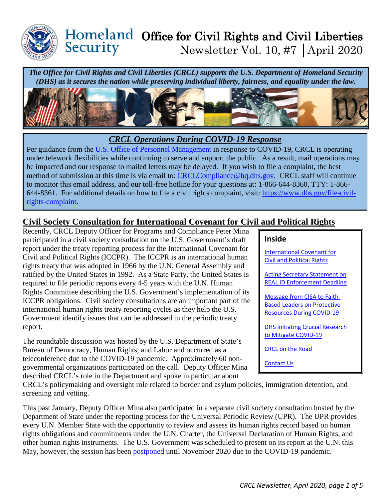

### Homeland Office for Civil Rights and Civil Liberties Security Newsletter Vol. 10, #7 │April 2020

*The Office for Civil Rights and Civil Liberties (CRCL) supports the U.S. Department of Homeland Security (DHS) as it secures the nation while preserving individual liberty, fairness, and equality under the law.* 



### *CRCL Operations During COVID-19 Response*

Per guidance from the [U.S. Office of Personnel Management](https://www.opm.gov/policy-data-oversight/covid-19/) in response to COVID-19, CRCL is operating under telework flexibilities while continuing to serve and support the public. As a result, mail operations may be impacted and our response to mailed letters may be delayed. If you wish to file a complaint, the best method of submission at this time is via email to: [CRCLCompliance@hq.dhs.gov.](mailto:CRCLCompliance@hq.dhs.gov) CRCL staff will continue to monitor this email address, and our toll-free hotline for your questions at: 1-866-644-8360, TTY: 1-866- 644-8361. For additional details on how to file a civil rights complaint, visit: [https://www.dhs.gov/file-civil](https://www.dhs.gov/file-civil-rights-complaint)[rights-complaint.](https://www.dhs.gov/file-civil-rights-complaint)

## <span id="page-0-0"></span>**Civil Society Consultation for International Covenant for Civil and Political Rights**

Recently, CRCL Deputy Officer for Programs and Compliance Peter Mina participated in a civil society consultation on the U.S. Government's draft report under the treaty reporting process for the International Covenant for Civil and Political Rights (ICCPR). The ICCPR is an international human rights treaty that was adopted in 1966 by the U.N. General Assembly and ratified by the United States in 1992. As a State Party, the United States is required to file periodic reports every 4-5 years with the U.N. Human Rights Committee describing the U.S. Government's implementation of its ICCPR obligations. Civil society consultations are an important part of the international human rights treaty reporting cycles as they help the U.S. Government identify issues that can be addressed in the periodic treaty report.

The roundtable discussion was hosted by the U.S. Department of State's Bureau of Democracy, Human Rights, and Labor and occurred as a teleconference due to the COVID-19 pandemic. Approximately 60 nongovernmental organizations participated on the call. Deputy Officer Mina described CRCL's role in the Department and spoke in particular about

#### **Inside**

[International Covenant for](#page-0-0)  [Civil and Political Rights](#page-0-0) 

[Acting Secretary Statement on](#page-1-0)  [REAL ID Enforcement Deadline](#page-1-0) 

[Message from CISA to Faith-](#page-2-0)[Based Leaders on Protective](#page-2-0)  [Resources During COVID-19](#page-2-0) 

[DHS Initiating Crucial Research](#page-3-0)  [to Mitigate COVID-19](#page-3-0) 

[CRCL on the Road](#page-4-0)

[Contact Us](#page-4-1)

CRCL's policymaking and oversight role related to border and asylum policies, immigration detention, and screening and vetting.

This past January, Deputy Officer Mina also participated in a separate civil society consultation hosted by the Department of State under the reporting process for the Universal Periodic Review (UPR). The UPR provides every U.N. Member State with the opportunity to review and assess its human rights record based on human rights obligations and commitments under the U.N. Charter, the Universal Declaration of Human Rights, and other human rights instruments. The U.S. Government was scheduled to present on its report at the U.N. this May, however, the session has been [postponed](https://www.ohchr.org/EN/HRBodies/HRC/Pages/NewsDetail.aspx?NewsID=25733&LangID=E) until November 2020 due to the COVID-19 pandemic.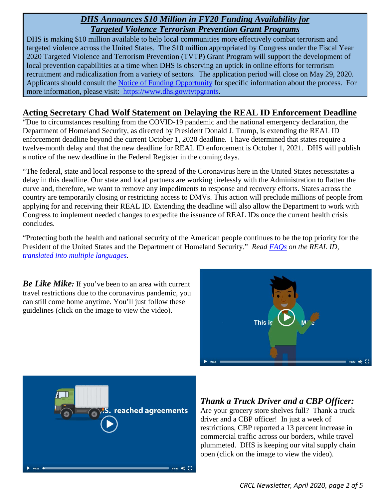### *DHS Announces \$10 Million in FY20 Funding Availability for Targeted Violence Terrorism Prevention Grant Programs*

DHS is making \$10 million available to help local communities more effectively combat terrorism and targeted violence across the United States. The \$10 million appropriated by Congress under the Fiscal Year 2020 Targeted Violence and Terrorism Prevention (TVTP) Grant Program will support the development of local prevention capabilities at a time when DHS is observing an uptick in online efforts for terrorism recruitment and radicalization from a variety of sectors. The application period will close on May 29, 2020. Applicants should consult the [Notice of Funding Opportunity](https://lnks.gd/l/eyJhbGciOiJIUzI1NiJ9.eyJidWxsZXRpbl9saW5rX2lkIjoxMDEsInVyaSI6ImJwMjpjbGljayIsImJ1bGxldGluX2lkIjoiMjAyMDA0MjEuMjA0MjU3MzEiLCJ1cmwiOiJodHRwczovL3d3dy5ncmFudHMuZ292L3dlYi9ncmFudHMvdmlldy1vcHBvcnR1bml0eS5odG1sP29wcElkPTMyNTg3NiJ9.6hjEYEjxIPZWZkA7PVBs0qSXEiu7zRFqYsFV-Bd7pOA/br/77650137138-l) for specific information about the process. For more information, please visit: [https://www.dhs.gov/tvtpgrants.](https://lnks.gd/l/eyJhbGciOiJIUzI1NiJ9.eyJidWxsZXRpbl9saW5rX2lkIjoxMDIsInVyaSI6ImJwMjpjbGljayIsImJ1bGxldGluX2lkIjoiMjAyMDA0MjEuMjA0MjU3MzEiLCJ1cmwiOiJodHRwczovL3d3dy5kaHMuZ292L3R2dHBncmFudHMifQ.0osl51Wrotvthj3iNvPnC0FONbA_W_7zb2AFHDVuSIM/br/77650137138-l)

### <span id="page-1-0"></span>**Acting Secretary Chad Wolf Statement on Delaying the REAL ID Enforcement Deadline**

"Due to circumstances resulting from the COVID-19 pandemic and the national emergency declaration, the Department of Homeland Security, as directed by President Donald J. Trump, is extending the REAL ID enforcement deadline beyond the current October 1, 2020 deadline. I have determined that states require a twelve-month delay and that the new deadline for REAL ID enforcement is October 1, 2021. DHS will publish a notice of the new deadline in the Federal Register in the coming days.

"The federal, state and local response to the spread of the Coronavirus here in the United States necessitates a delay in this deadline. Our state and local partners are working tirelessly with the Administration to flatten the curve and, therefore, we want to remove any impediments to response and recovery efforts. States across the country are temporarily closing or restricting access to DMVs. This action will preclude millions of people from applying for and receiving their REAL ID. Extending the deadline will also allow the Department to work with Congress to implement needed changes to expedite the issuance of REAL IDs once the current health crisis concludes.

"Protecting both the health and national security of the American people continues to be the top priority for the President of the United States and the Department of Homeland Security." *Read [FAQs](https://www.dhs.gov/real-id-frequently-asked-questions) on the REAL ID, [translated into multiple languages.](https://www.dhs.gov/publication/real-id-frequently-asked-questions-translations)* 

*Be Like Mike:* If you've been to an area with current travel restrictions due to the coronavirus pandemic, you can still come home anytime. You'll just follow these guidelines (click on the image to view the video).





# *Thank a Truck Driver and a CBP Officer:*

Are your grocery store shelves full? Thank a truck driver and a CBP officer! In just a week of restrictions, CBP reported a 13 percent increase in commercial traffic across our borders, while travel plummeted. DHS is keeping our vital supply chain open (click on the image to view the video).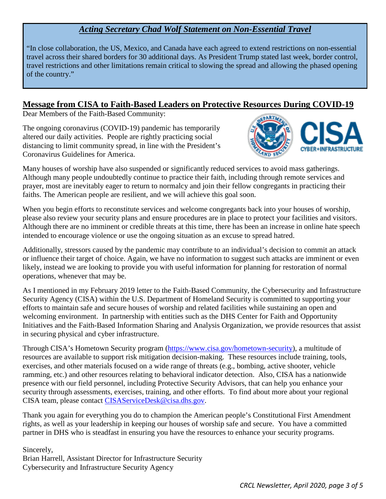## *Acting Secretary Chad Wolf Statement on Non-Essential Travel*

"In close collaboration, the US, Mexico, and Canada have each agreed to extend restrictions on non-essential travel across their shared borders for 30 additional days. As President Trump stated last week, border control, travel restrictions and other limitations remain critical to slowing the spread and allowing the phased opening of the country."

#### <span id="page-2-0"></span>**Message from CISA to Faith-Based Leaders on Protective Resources During COVID-19**

Dear Members of the Faith-Based Community:

The ongoing coronavirus (COVID-19) pandemic has temporarily altered our daily activities. People are rightly practicing social distancing to limit community spread, in line with the President's Coronavirus Guidelines for America.



Many houses of worship have also suspended or significantly reduced services to avoid mass gatherings. Although many people undoubtedly continue to practice their faith, including through remote services and prayer, most are inevitably eager to return to normalcy and join their fellow congregants in practicing their faiths. The American people are resilient, and we will achieve this goal soon.

When you begin efforts to reconstitute services and welcome congregants back into your houses of worship, please also review your security plans and ensure procedures are in place to protect your facilities and visitors. Although there are no imminent or credible threats at this time, there has been an increase in online hate speech intended to encourage violence or use the ongoing situation as an excuse to spread hatred.

Additionally, stressors caused by the pandemic may contribute to an individual's decision to commit an attack or influence their target of choice. Again, we have no information to suggest such attacks are imminent or even likely, instead we are looking to provide you with useful information for planning for restoration of normal operations, whenever that may be.

As I mentioned in my February 2019 letter to the Faith-Based Community, the Cybersecurity and Infrastructure Security Agency (CISA) within the U.S. Department of Homeland Security is committed to supporting your efforts to maintain safe and secure houses of worship and related facilities while sustaining an open and welcoming environment. In partnership with entities such as the DHS Center for Faith and Opportunity Initiatives and the Faith-Based Information Sharing and Analysis Organization, we provide resources that assist in securing physical and cyber infrastructure.

Through CISA's Hometown Security program [\(https://www.cisa.gov/hometown-security\)](https://www.cisa.gov/hometown-security), a multitude of resources are available to support risk mitigation decision-making. These resources include training, tools, exercises, and other materials focused on a wide range of threats (e.g., bombing, active shooter, vehicle ramming, etc.) and other resources relating to behavioral indicator detection. Also, CISA has a nationwide presence with our field personnel, including Protective Security Advisors, that can help you enhance your security through assessments, exercises, training, and other efforts. To find about more about your regional CISA team, please contact [CISAServiceDesk@cisa.dhs.gov.](mailto:CISAServiceDesk@cisa.dhs.gov)

Thank you again for everything you do to champion the American people's Constitutional First Amendment rights, as well as your leadership in keeping our houses of worship safe and secure. You have a committed partner in DHS who is steadfast in ensuring you have the resources to enhance your security programs.

Sincerely, Brian Harrell, Assistant Director for Infrastructure Security Cybersecurity and Infrastructure Security Agency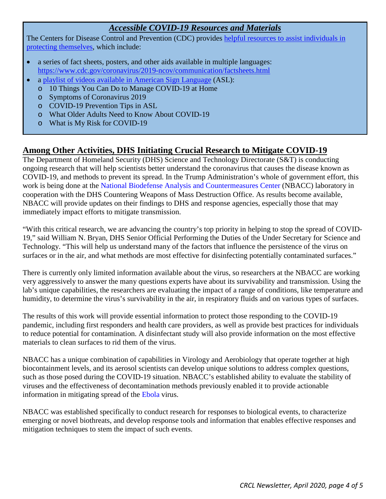# *Accessible COVID-19 Resources and Materials*

The Centers for Disease Control and Prevention (CDC) provides helpful resources to assist individuals in [protecting themselves,](https://www.cdc.gov/coronavirus/2019-ncov/communication/index.html) which include:

- a series of fact sheets, posters, and other aids available in multiple languages: <https://www.cdc.gov/coronavirus/2019-ncov/communication/factsheets.html>
- a [playlist of videos available in American Sign Language](https://www.youtube.com/playlist?list=PLvrp9iOILTQatwnqm61jqFrsfUB4RKh6J) (ASL):
	- o 10 Things You Can Do to Manage COVID-19 at Home
	- o Symptoms of Coronavirus 2019
	- o COVID-19 Prevention Tips in ASL
	- o What Older Adults Need to Know About COVID-19
	- o What is My Risk for COVID-19

## <span id="page-3-0"></span>**Among Other Activities, DHS Initiating Crucial Research to Mitigate COVID-19**

The Department of Homeland Security (DHS) Science and Technology Directorate (S&T) is conducting ongoing research that will help scientists better understand the coronavirus that causes the disease known as COVID-19, and methods to prevent its spread. In the Trump Administration's whole of government effort, this work is being done at the [National Biodefense Analysis and Countermeasures Center](http://www.dhs.gov/science-and-technology/national-biodefense-analysis-and-countermeasures-center) (NBACC) laboratory in cooperation with the DHS Countering Weapons of Mass Destruction Office. As results become available, NBACC will provide updates on their findings to DHS and response agencies, especially those that may immediately impact efforts to mitigate transmission.

"With this critical research, we are advancing the country's top priority in helping to stop the spread of COVID-19," said William N. Bryan, DHS Senior Official Performing the Duties of the Under Secretary for Science and Technology. "This will help us understand many of the factors that influence the persistence of the virus on surfaces or in the air, and what methods are most effective for disinfecting potentially contaminated surfaces."

There is currently only limited information available about the virus, so researchers at the NBACC are working very aggressively to answer the many questions experts have about its survivability and transmission. Using the lab's unique capabilities, the researchers are evaluating the impact of a range of conditions, like temperature and humidity, to determine the virus's survivability in the air, in respiratory fluids and on various types of surfaces.

The results of this work will provide essential information to protect those responding to the COVID-19 pandemic, including first responders and health care providers, as well as provide best practices for individuals to reduce potential for contamination. A disinfectant study will also provide information on the most effective materials to clean surfaces to rid them of the virus.

NBACC has a unique combination of capabilities in Virology and Aerobiology that operate together at high biocontainment levels, and its aerosol scientists can develop unique solutions to address complex questions, such as those posed during the COVID-19 situation. NBACC's established ability to evaluate the stability of viruses and the effectiveness of decontamination methods previously enabled it to provide actionable information in mitigating spread of the [Ebola](https://wwwnc.cdc.gov/eid/article/24/1/17-0504_article) virus.

NBACC was established specifically to conduct research for responses to biological events, to characterize emerging or novel biothreats, and develop response tools and information that enables effective responses and mitigation techniques to stem the impact of such events.